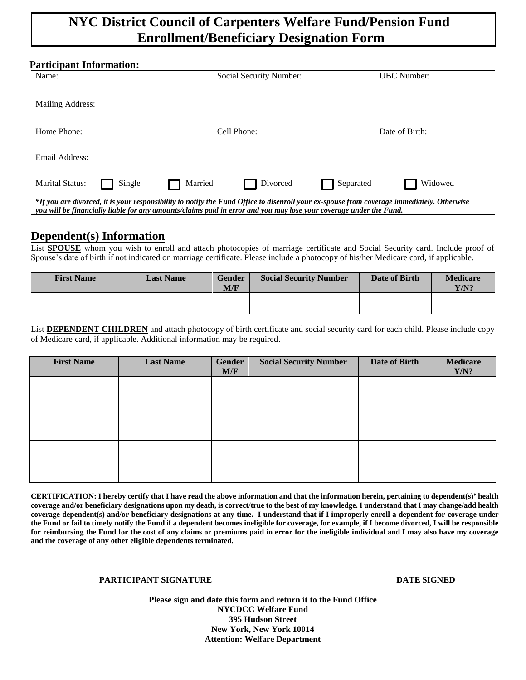## **NYC District Council of Carpenters Welfare Fund/Pension Fund Enrollment/Beneficiary Designation Form**

| <b>Participant Information:</b><br>Name: |                         | UBC Number:          |
|------------------------------------------|-------------------------|----------------------|
|                                          | Social Security Number: |                      |
|                                          |                         |                      |
| <b>Mailing Address:</b>                  |                         |                      |
|                                          |                         |                      |
| Home Phone:                              | Cell Phone:             | Date of Birth:       |
|                                          |                         |                      |
| Email Address:                           |                         |                      |
|                                          |                         |                      |
| Single<br><b>Marital Status:</b>         | Married<br>Divorced     | Widowed<br>Separated |
|                                          |                         |                      |

## **Dependent(s) Information**

List **SPOUSE** whom you wish to enroll and attach photocopies of marriage certificate and Social Security card. Include proof of Spouse's date of birth if not indicated on marriage certificate. Please include a photocopy of his/her Medicare card, if applicable.

| <b>First Name</b> | <b>Last Name</b> | <b>Gender</b><br>M/F | <b>Social Security Number</b> | Date of Birth | <b>Medicare</b><br>Y/N? |
|-------------------|------------------|----------------------|-------------------------------|---------------|-------------------------|
|                   |                  |                      |                               |               |                         |

List **DEPENDENT CHILDREN** and attach photocopy of birth certificate and social security card for each child. Please include copy of Medicare card, if applicable. Additional information may be required.

| <b>First Name</b> | <b>Last Name</b> | Gender<br>M/F | <b>Social Security Number</b> | Date of Birth | <b>Medicare</b><br>Y/N? |
|-------------------|------------------|---------------|-------------------------------|---------------|-------------------------|
|                   |                  |               |                               |               |                         |
|                   |                  |               |                               |               |                         |
|                   |                  |               |                               |               |                         |
|                   |                  |               |                               |               |                         |
|                   |                  |               |                               |               |                         |

**CERTIFICATION: I hereby certify that I have read the above information and that the information herein, pertaining to dependent(s)' health coverage and/or beneficiary designations upon my death, is correct/true to the best of my knowledge. I understand that I may change/add health coverage dependent(s) and/or beneficiary designations at any time. I understand that if I improperly enroll a dependent for coverage under the Fund or fail to timely notify the Fund if a dependent becomes ineligible for coverage, for example, if I become divorced, I will be responsible for reimbursing the Fund for the cost of any claims or premiums paid in error for the ineligible individual and I may also have my coverage and the coverage of any other eligible dependents terminated.** 

**PARTICIPANT SIGNATURE DATE SIGNED** 

 $\overline{a}$ 

**Please sign and date this form and return it to the Fund Office NYCDCC Welfare Fund 395 Hudson Street New York, New York 10014 Attention: Welfare Department**